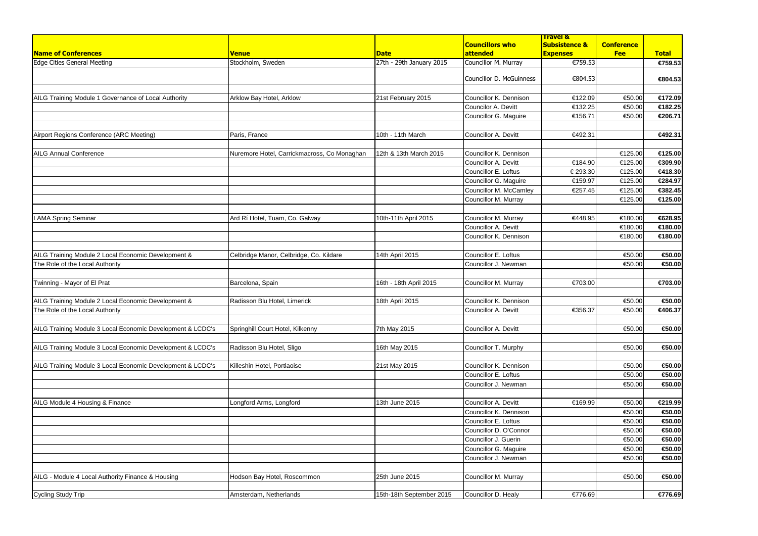| <b>Name of Conferences</b>                                 | <b>Venue</b>                                | <b>Date</b>              | <b>Councillors who</b><br><b>attended</b> | <b>Travel &amp;</b><br><b>Subsistence &amp;</b><br><b>Expenses</b> | <b>Conference</b><br><b>Fee</b> | <b>Total</b> |
|------------------------------------------------------------|---------------------------------------------|--------------------------|-------------------------------------------|--------------------------------------------------------------------|---------------------------------|--------------|
| Edge Cities General Meeting                                | Stockholm, Sweden                           | 27th - 29th January 2015 | Councillor M. Murray                      | €759.53                                                            |                                 | €759.53      |
|                                                            |                                             |                          | Councillor D. McGuinness                  | €804.53                                                            |                                 | €804.53      |
|                                                            |                                             |                          |                                           |                                                                    |                                 |              |
| AILG Training Module 1 Governance of Local Authority       | Arklow Bay Hotel, Arklow                    | 21st February 2015       | Councillor K. Dennison                    | €122.09                                                            | €50.00                          | €172.09      |
|                                                            |                                             |                          | Councilor A. Devitt                       | €132.25                                                            | €50.00                          | €182.25      |
|                                                            |                                             |                          | Councillor G. Maguire                     | €156.71                                                            | €50.00                          | €206.71      |
| Airport Regions Conference (ARC Meeting)                   | Paris, France                               | 10th - 11th March        | Councillor A. Devitt                      | €492.31                                                            |                                 | €492.31      |
|                                                            |                                             |                          |                                           |                                                                    |                                 |              |
| <b>AILG Annual Conference</b>                              | Nuremore Hotel, Carrickmacross, Co Monaghan | 12th & 13th March 2015   | Councillor K. Dennison                    |                                                                    | €125.00                         | €125.00      |
|                                                            |                                             |                          | Councillor A. Devitt                      | €184.90                                                            | €125.00                         | €309.90      |
|                                                            |                                             |                          | Councillor E. Loftus                      | € 293.30                                                           | €125.00                         | €418.30      |
|                                                            |                                             |                          | Councillor G. Maguire                     | €159.97                                                            | €125.00                         | €284.97      |
|                                                            |                                             |                          | Councillor M. McCamley                    | €257.45                                                            | €125.00                         | €382.45      |
|                                                            |                                             |                          | Councillor M. Murray                      |                                                                    | €125.00                         | €125.00      |
|                                                            |                                             |                          |                                           |                                                                    |                                 |              |
| <b>LAMA Spring Seminar</b>                                 | Ard Rí Hotel, Tuam, Co. Galway              | 10th-11th April 2015     | Councillor M. Murray                      | €448.95                                                            | €180.00                         | €628.95      |
|                                                            |                                             |                          | Councillor A. Devitt                      |                                                                    | €180.00                         | €180.00      |
|                                                            |                                             |                          | Councillor K. Dennison                    |                                                                    | €180.00                         | €180.00      |
|                                                            |                                             |                          |                                           |                                                                    |                                 |              |
| AILG Training Module 2 Local Economic Development &        | Celbridge Manor, Celbridge, Co. Kildare     | 14th April 2015          | Councillor E. Loftus                      |                                                                    | €50.00                          | €50.00       |
| The Role of the Local Authority                            |                                             |                          | Councillor J. Newman                      |                                                                    | €50.00                          | €50.00       |
|                                                            |                                             |                          |                                           |                                                                    |                                 |              |
| Twinning - Mayor of El Prat                                | Barcelona, Spain                            | 16th - 18th April 2015   | Councillor M. Murray                      | €703.00                                                            |                                 | €703.00      |
| AILG Training Module 2 Local Economic Development &        | Radisson Blu Hotel, Limerick                | 18th April 2015          | Councillor K. Dennison                    |                                                                    | €50.00                          | €50.00       |
| The Role of the Local Authority                            |                                             |                          | <b>Councillor A. Devitt</b>               | €356.37                                                            | €50.00                          | €406.37      |
|                                                            |                                             |                          |                                           |                                                                    |                                 |              |
| AILG Training Module 3 Local Economic Development & LCDC's | Springhill Court Hotel, Kilkenny            | 7th May 2015             | Councillor A. Devitt                      |                                                                    | €50.00                          | €50.00       |
|                                                            |                                             |                          |                                           |                                                                    |                                 |              |
| AILG Training Module 3 Local Economic Development & LCDC's | Radisson Blu Hotel, Sligo                   | 16th May 2015            | Councillor T. Murphy                      |                                                                    | €50.00                          | €50.00       |
| AILG Training Module 3 Local Economic Development & LCDC's | Killeshin Hotel, Portlaoise                 | 21st May 2015            | Councillor K. Dennison                    |                                                                    | €50.00                          | €50.00       |
|                                                            |                                             |                          | Councillor E. Loftus                      |                                                                    | €50.00                          | €50.00       |
|                                                            |                                             |                          | Councillor J. Newman                      |                                                                    | €50.00                          | €50.00       |
|                                                            |                                             |                          |                                           |                                                                    |                                 |              |
| AILG Module 4 Housing & Finance                            | Longford Arms, Longford                     | 13th June 2015           | Councillor A. Devitt                      | €169.99                                                            | €50.00                          | €219.99      |
|                                                            |                                             |                          | Councillor K. Dennison                    |                                                                    | €50.00                          | €50.00       |
|                                                            |                                             |                          | Councillor E. Loftus                      |                                                                    | €50.00                          | €50.00       |
|                                                            |                                             |                          | Councillor D. O'Connor                    |                                                                    | €50.00                          | €50.00       |
|                                                            |                                             |                          | Councillor J. Guerin                      |                                                                    | €50.00                          | €50.00       |
|                                                            |                                             |                          | Councillor G. Maguire                     |                                                                    | €50.00                          | €50.00       |
|                                                            |                                             |                          | Councillor J. Newman                      |                                                                    | €50.00                          | €50.00       |
|                                                            |                                             |                          |                                           |                                                                    |                                 |              |
| AILG - Module 4 Local Authority Finance & Housing          | Hodson Bay Hotel, Roscommon                 | 25th June 2015           | Councillor M. Murray                      |                                                                    | €50.00                          | €50.00       |
|                                                            |                                             |                          |                                           |                                                                    |                                 |              |
| Cycling Study Trip                                         | Amsterdam, Netherlands                      | 15th-18th September 2015 | Councillor D. Healy                       | €776.69                                                            |                                 | €776.69      |
|                                                            |                                             |                          |                                           |                                                                    |                                 |              |